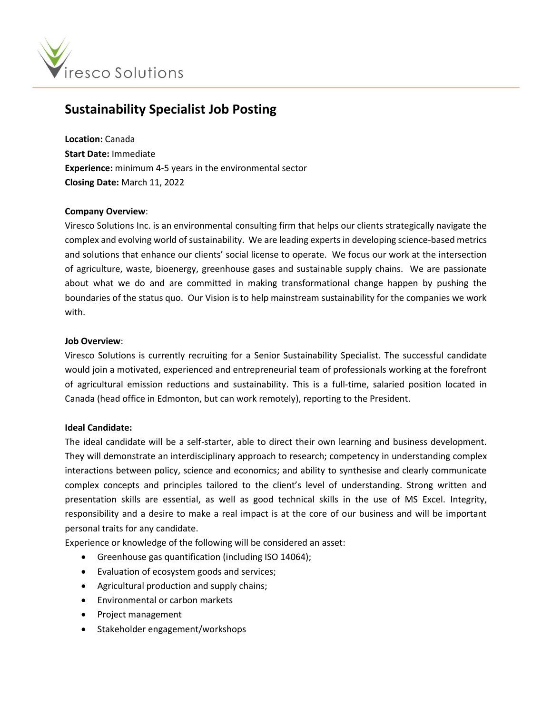

# **Sustainability Specialist Job Posting**

**Location:** Canada **Start Date:** Immediate **Experience:** minimum 4-5 years in the environmental sector **Closing Date:** March 11, 2022

## **Company Overview**:

Viresco Solutions Inc. is an environmental consulting firm that helps our clients strategically navigate the complex and evolving world of sustainability. We are leading experts in developing science-based metrics and solutions that enhance our clients' social license to operate. We focus our work at the intersection of agriculture, waste, bioenergy, greenhouse gases and sustainable supply chains. We are passionate about what we do and are committed in making transformational change happen by pushing the boundaries of the status quo. Our Vision is to help mainstream sustainability for the companies we work with.

## **Job Overview**:

Viresco Solutions is currently recruiting for a Senior Sustainability Specialist. The successful candidate would join a motivated, experienced and entrepreneurial team of professionals working at the forefront of agricultural emission reductions and sustainability. This is a full-time, salaried position located in Canada (head office in Edmonton, but can work remotely), reporting to the President.

#### **Ideal Candidate:**

The ideal candidate will be a self-starter, able to direct their own learning and business development. They will demonstrate an interdisciplinary approach to research; competency in understanding complex interactions between policy, science and economics; and ability to synthesise and clearly communicate complex concepts and principles tailored to the client's level of understanding. Strong written and presentation skills are essential, as well as good technical skills in the use of MS Excel. Integrity, responsibility and a desire to make a real impact is at the core of our business and will be important personal traits for any candidate.

Experience or knowledge of the following will be considered an asset:

- Greenhouse gas quantification (including ISO 14064);
- Evaluation of ecosystem goods and services;
- Agricultural production and supply chains;
- Environmental or carbon markets
- Project management
- Stakeholder engagement/workshops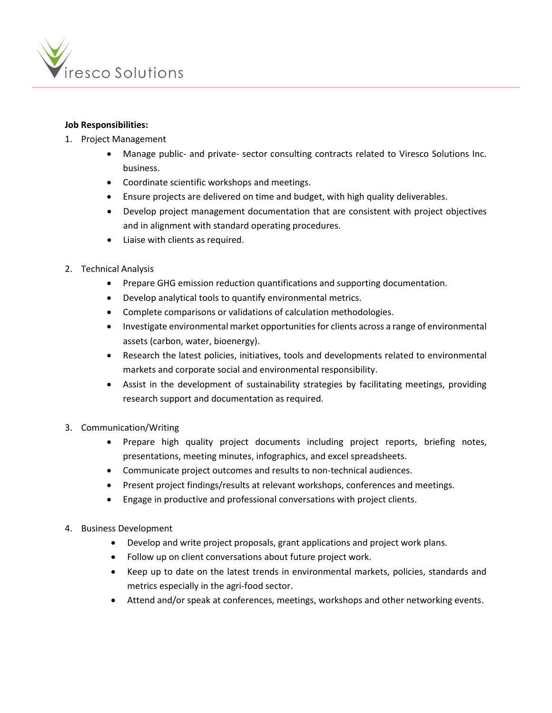

# **Job Responsibilities:**

- 1. Project Management
	- Manage public- and private- sector consulting contracts related to Viresco Solutions Inc. business.
	- Coordinate scientific workshops and meetings.
	- Ensure projects are delivered on time and budget, with high quality deliverables.
	- Develop project management documentation that are consistent with project objectives and in alignment with standard operating procedures.
	- Liaise with clients as required.
- 2. Technical Analysis
	- Prepare GHG emission reduction quantifications and supporting documentation.
	- Develop analytical tools to quantify environmental metrics.
	- Complete comparisons or validations of calculation methodologies.
	- Investigate environmental market opportunities for clients across a range of environmental assets (carbon, water, bioenergy).
	- Research the latest policies, initiatives, tools and developments related to environmental markets and corporate social and environmental responsibility.
	- Assist in the development of sustainability strategies by facilitating meetings, providing research support and documentation as required.
- 3. Communication/Writing
	- Prepare high quality project documents including project reports, briefing notes, presentations, meeting minutes, infographics, and excel spreadsheets.
	- Communicate project outcomes and results to non-technical audiences.
	- Present project findings/results at relevant workshops, conferences and meetings.
	- Engage in productive and professional conversations with project clients.
- 4. Business Development
	- Develop and write project proposals, grant applications and project work plans.
	- Follow up on client conversations about future project work.
	- Keep up to date on the latest trends in environmental markets, policies, standards and metrics especially in the agri-food sector.
	- Attend and/or speak at conferences, meetings, workshops and other networking events.